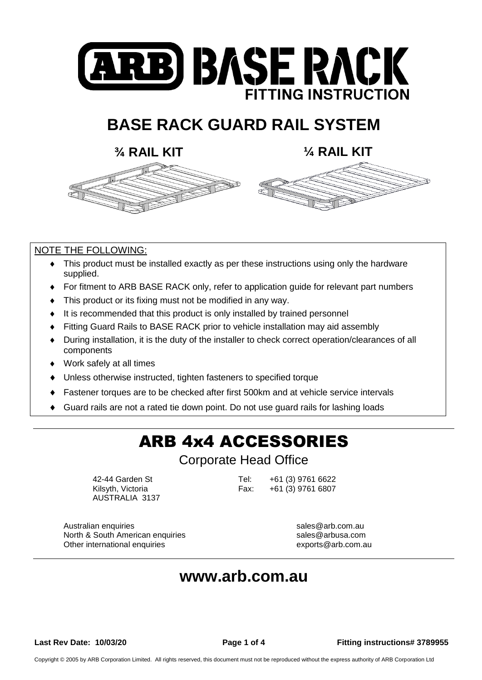

# **BASE RACK GUARD RAIL SYSTEM**

**¾ RAIL KIT ¼ RAIL KIT**

### NOTE THE FOLLOWING:

- This product must be installed exactly as per these instructions using only the hardware supplied.
- For fitment to ARB BASE RACK only, refer to application guide for relevant part numbers
- This product or its fixing must not be modified in any way.
- It is recommended that this product is only installed by trained personnel
- Fitting Guard Rails to BASE RACK prior to vehicle installation may aid assembly
- During installation, it is the duty of the installer to check correct operation/clearances of all components
- Work safely at all times
- Unless otherwise instructed, tighten fasteners to specified torque
- Fastener torques are to be checked after first 500km and at vehicle service intervals
- Guard rails are not a rated tie down point. Do not use guard rails for lashing loads

# ARB 4x4 ACCESSORIES

Corporate Head Office

AUSTRALIA 3137

42-44 Garden St Tel: +61 (3) 9761 6622 Kilsyth, Victoria **Fax:** +61 (3) 9761 6807

Australian enquiries sales@arb.com.au North & South American enquiries sales @arbusa.com Other international enquiries exports@arb.com.au exports@arb.com.au

## **[www.arb.com.au](http://www.arb.com.au/)**

**Last Rev Date: 10/03/20 Page 1 of 4 Fitting instructions# 3789955**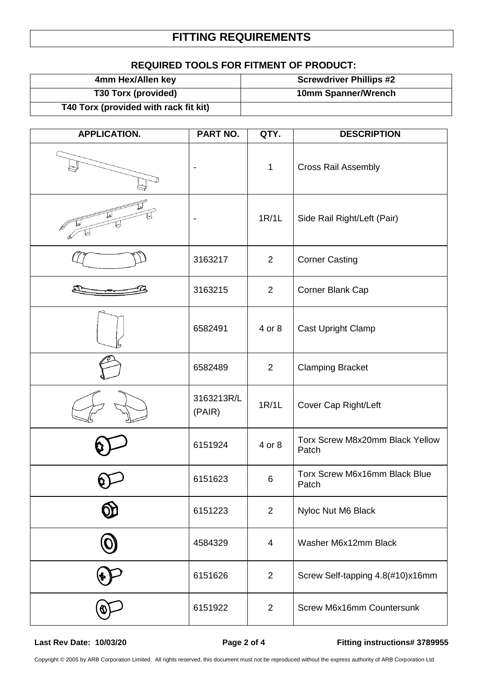## **FITTING REQUIREMENTS**

### **REQUIRED TOOLS FOR FITMENT OF PRODUCT:**

| 4mm Hex/Allen key                     | <b>Screwdriver Phillips #2</b> |
|---------------------------------------|--------------------------------|
| T30 Torx (provided)                   | 10mm Spanner/Wrench            |
| T40 Torx (provided with rack fit kit) |                                |

| <b>APPLICATION.</b> | PART NO.             | QTY.           | <b>DESCRIPTION</b>                       |
|---------------------|----------------------|----------------|------------------------------------------|
|                     |                      | $\mathbf{1}$   | <b>Cross Rail Assembly</b>               |
|                     |                      | 1R/1L          | Side Rail Right/Left (Pair)              |
|                     | 3163217              | $\overline{2}$ | <b>Corner Casting</b>                    |
|                     | 3163215              | $\overline{2}$ | Corner Blank Cap                         |
|                     | 6582491              | 4 or 8         | Cast Upright Clamp                       |
|                     | 6582489              | $\overline{2}$ | <b>Clamping Bracket</b>                  |
|                     | 3163213R/L<br>(PAIR) | 1R/1L          | Cover Cap Right/Left                     |
|                     | 6151924              | 4 or 8         | Torx Screw M8x20mm Black Yellow<br>Patch |
|                     | 6151623              | 6              | Torx Screw M6x16mm Black Blue<br>Patch   |
|                     | 6151223              | $\overline{2}$ | Nyloc Nut M6 Black                       |
|                     | 4584329              | 4              | Washer M6x12mm Black                     |
|                     | 6151626              | 2              | Screw Self-tapping 4.8(#10)x16mm         |
|                     | 6151922              | $\overline{2}$ | Screw M6x16mm Countersunk                |

**Last Rev Date: 10/03/20 Page 2 of 4 Fitting instructions# 3789955**

Copyright © 2005 by ARB Corporation Limited. All rights reserved, this document must not be reproduced without the express authority of ARB Corporation Ltd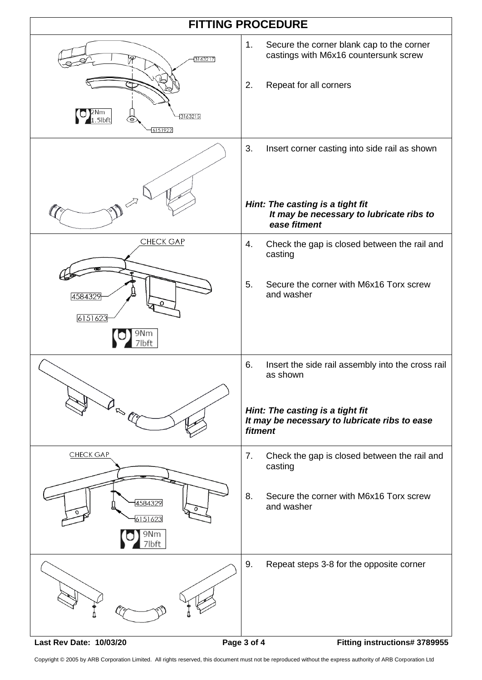

Copyright © 2005 by ARB Corporation Limited. All rights reserved, this document must not be reproduced without the express authority of ARB Corporation Ltd